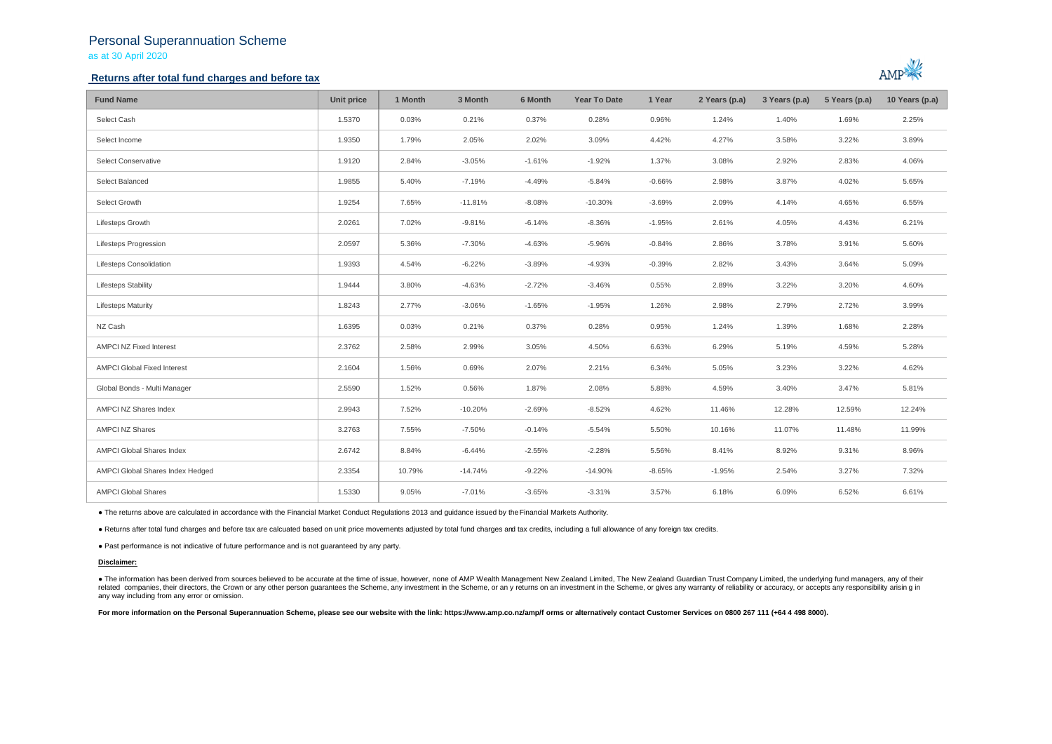## Personal Superannuation Scheme as at 30 April 2020

## **Returns after total fund charges and before tax**



| <b>Fund Name</b>                   | Unit price | 1 Month | 3 Month   | 6 Month  | <b>Year To Date</b> | 1 Year   | 2 Years (p.a) | 3 Years (p.a) | 5 Years (p.a) | 10 Years (p.a) |
|------------------------------------|------------|---------|-----------|----------|---------------------|----------|---------------|---------------|---------------|----------------|
| Select Cash                        | 1.5370     | 0.03%   | 0.21%     | 0.37%    | 0.28%               | 0.96%    | 1.24%         | 1.40%         | 1.69%         | 2.25%          |
| Select Income                      | 1.9350     | 1.79%   | 2.05%     | 2.02%    | 3.09%               | 4.42%    | 4.27%         | 3.58%         | 3.22%         | 3.89%          |
| Select Conservative                | 1.9120     | 2.84%   | $-3.05%$  | $-1.61%$ | $-1.92%$            | 1.37%    | 3.08%         | 2.92%         | 2.83%         | 4.06%          |
| Select Balanced                    | 1.9855     | 5.40%   | $-7.19%$  | $-4.49%$ | $-5.84%$            | $-0.66%$ | 2.98%         | 3.87%         | 4.02%         | 5.65%          |
| Select Growth                      | 1.9254     | 7.65%   | $-11.81%$ | $-8.08%$ | $-10.30%$           | $-3.69%$ | 2.09%         | 4.14%         | 4.65%         | 6.55%          |
| Lifesteps Growth                   | 2.0261     | 7.02%   | $-9.81%$  | $-6.14%$ | $-8.36%$            | $-1.95%$ | 2.61%         | 4.05%         | 4.43%         | 6.21%          |
| Lifesteps Progression              | 2.0597     | 5.36%   | $-7.30%$  | $-4.63%$ | $-5.96%$            | $-0.84%$ | 2.86%         | 3.78%         | 3.91%         | 5.60%          |
| Lifesteps Consolidation            | 1.9393     | 4.54%   | $-6.22%$  | $-3.89%$ | $-4.93%$            | $-0.39%$ | 2.82%         | 3.43%         | 3.64%         | 5.09%          |
| <b>Lifesteps Stability</b>         | 1.9444     | 3.80%   | $-4.63%$  | $-2.72%$ | $-3.46%$            | 0.55%    | 2.89%         | 3.22%         | 3.20%         | 4.60%          |
| <b>Lifesteps Maturity</b>          | 1.8243     | 2.77%   | $-3.06%$  | $-1.65%$ | $-1.95%$            | 1.26%    | 2.98%         | 2.79%         | 2.72%         | 3.99%          |
| NZ Cash                            | 1.6395     | 0.03%   | 0.21%     | 0.37%    | 0.28%               | 0.95%    | 1.24%         | 1.39%         | 1.68%         | 2.28%          |
| <b>AMPCI NZ Fixed Interest</b>     | 2.3762     | 2.58%   | 2.99%     | 3.05%    | 4.50%               | 6.63%    | 6.29%         | 5.19%         | 4.59%         | 5.28%          |
| <b>AMPCI Global Fixed Interest</b> | 2.1604     | 1.56%   | 0.69%     | 2.07%    | 2.21%               | 6.34%    | 5.05%         | 3.23%         | 3.22%         | 4.62%          |
| Global Bonds - Multi Manager       | 2.5590     | 1.52%   | 0.56%     | 1.87%    | 2.08%               | 5.88%    | 4.59%         | 3.40%         | 3.47%         | 5.81%          |
| AMPCI NZ Shares Index              | 2.9943     | 7.52%   | $-10.20%$ | $-2.69%$ | $-8.52%$            | 4.62%    | 11.46%        | 12.28%        | 12.59%        | 12.24%         |
| <b>AMPCI NZ Shares</b>             | 3.2763     | 7.55%   | $-7.50%$  | $-0.14%$ | $-5.54%$            | 5.50%    | 10.16%        | 11.07%        | 11.48%        | 11.99%         |
| AMPCI Global Shares Index          | 2.6742     | 8.84%   | $-6.44%$  | $-2.55%$ | $-2.28%$            | 5.56%    | 8.41%         | 8.92%         | 9.31%         | 8.96%          |
| AMPCI Global Shares Index Hedged   | 2.3354     | 10.79%  | $-14.74%$ | $-9.22%$ | $-14.90%$           | $-8.65%$ | $-1.95%$      | 2.54%         | 3.27%         | 7.32%          |
| <b>AMPCI Global Shares</b>         | 1.5330     | 9.05%   | $-7.01%$  | $-3.65%$ | $-3.31%$            | 3.57%    | 6.18%         | 6.09%         | 6.52%         | 6.61%          |

● The returns above are calculated in accordance with the Financial Market Conduct Regulations 2013 and guidance issued by the Financial Markets Authority.

● Returns after total fund charges and before tax are calcuated based on unit price movements adjusted by total fund charges and tax credits, including a full allowance of any foreign tax credits.

● Past performance is not indicative of future performance and is not guaranteed by any party.

#### **Disclaimer:**

. The information has been derived from sources believed to be accurate at the time of issue, however, none of AMP Wealth Management New Zealand Limited, The New Zealand Guardian Trust Company Limited, the underlying fund related companies, their directors, the Crown or any other person quarantees the Scheme, any investment in the Scheme, or any returns on an investment in the Scheme, or qives any warranty of reliability or accuracy, or acc any way including from any error or omission.

For more information on the Personal Superannuation Scheme, please see our website with the link: https://www.amp.co.nz/amp/f orms or alternatively contact Customer Services on 0800 267 111 (+64 4 498 8000).